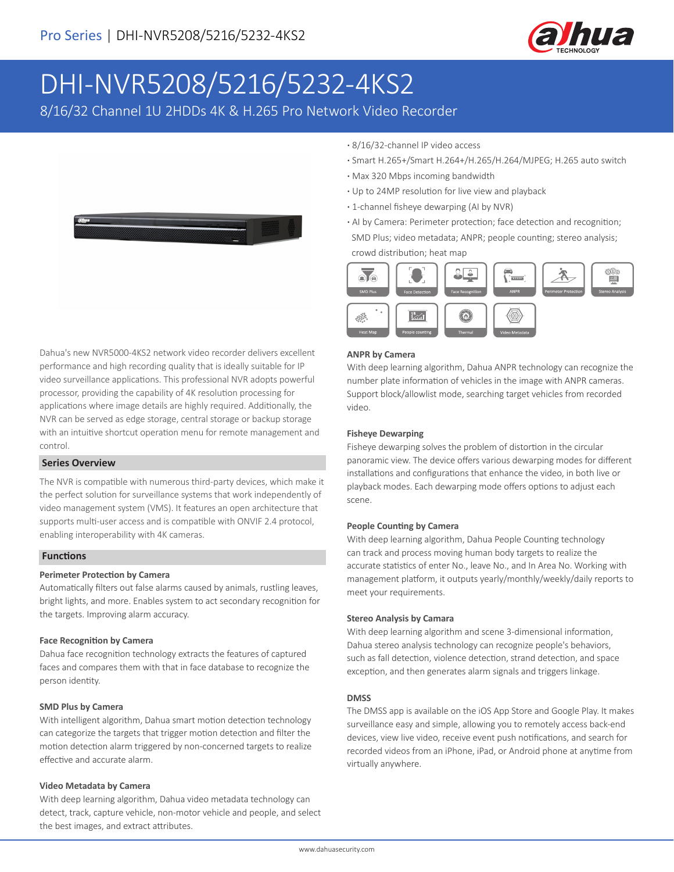

# DHI-NVR5208/5216/5232-4KS2

8/16/32 Channel 1U 2HDDs 4K & H.265 Pro Network Video Recorder



Dahua's new NVR5000-4KS2 network video recorder delivers excellent performance and high recording quality that is ideally suitable for IP video surveillance applications. This professional NVR adopts powerful processor, providing the capability of 4K resolution processing for applications where image details are highly required. Additionally, the NVR can be served as edge storage, central storage or backup storage with an intuitive shortcut operation menu for remote management and control.

#### **Series Overview**

The NVR is compatible with numerous third-party devices, which make it the perfect solution for surveillance systems that work independently of video management system (VMS). It features an open architecture that supports multi-user access and is compatible with ONVIF 2.4 protocol, enabling interoperability with 4K cameras.

#### **Functions**

#### **Perimeter Protection by Camera**

Automatically filters out false alarms caused by animals, rustling leaves, bright lights, and more. Enables system to act secondary recognition for the targets. Improving alarm accuracy.

#### **Face Recognition by Camera**

Dahua face recognition technology extracts the features of captured faces and compares them with that in face database to recognize the person identity.

#### **SMD Plus by Camera**

With intelligent algorithm, Dahua smart motion detection technology can categorize the targets that trigger motion detection and filter the motion detection alarm triggered by non-concerned targets to realize effective and accurate alarm.

#### **Video Metadata by Camera**

With deep learning algorithm, Dahua video metadata technology can detect, track, capture vehicle, non-motor vehicle and people, and select the best images, and extract attributes.

- **·** 8/16/32-channel IP video access
- **·** Smart H.265+/Smart H.264+/H.265/H.264/MJPEG; H.265 auto switch
- **·** Max 320 Mbps incoming bandwidth
- **·** Up to 24MP resolution for live view and playback
- **·** 1-channel fisheye dewarping (AI by NVR)
- **·** AI by Camera: Perimeter protection; face detection and recognition; SMD Plus; video metadata; ANPR; people counting; stereo analysis; crowd distribution; heat map



#### **ANPR by Camera**

With deep learning algorithm, Dahua ANPR technology can recognize the number plate information of vehicles in the image with ANPR cameras. Support block/allowlist mode, searching target vehicles from recorded video.

#### **Fisheye Dewarping**

Fisheye dewarping solves the problem of distortion in the circular panoramic view. The device offers various dewarping modes for different installations and configurations that enhance the video, in both live or playback modes. Each dewarping mode offers options to adjust each scene.

#### **People Counting by Camera**

With deep learning algorithm, Dahua People Counting technology can track and process moving human body targets to realize the accurate statistics of enter No., leave No., and In Area No. Working with management platform, it outputs yearly/monthly/weekly/daily reports to meet your requirements.

#### **Stereo Analysis by Camara**

With deep learning algorithm and scene 3-dimensional information, Dahua stereo analysis technology can recognize people's behaviors, such as fall detection, violence detection, strand detection, and space exception, and then generates alarm signals and triggers linkage.

#### **DMSS**

The DMSS app is available on the iOS App Store and Google Play. It makes surveillance easy and simple, allowing you to remotely access back-end devices, view live video, receive event push notifications, and search for recorded videos from an iPhone, iPad, or Android phone at anytime from virtually anywhere.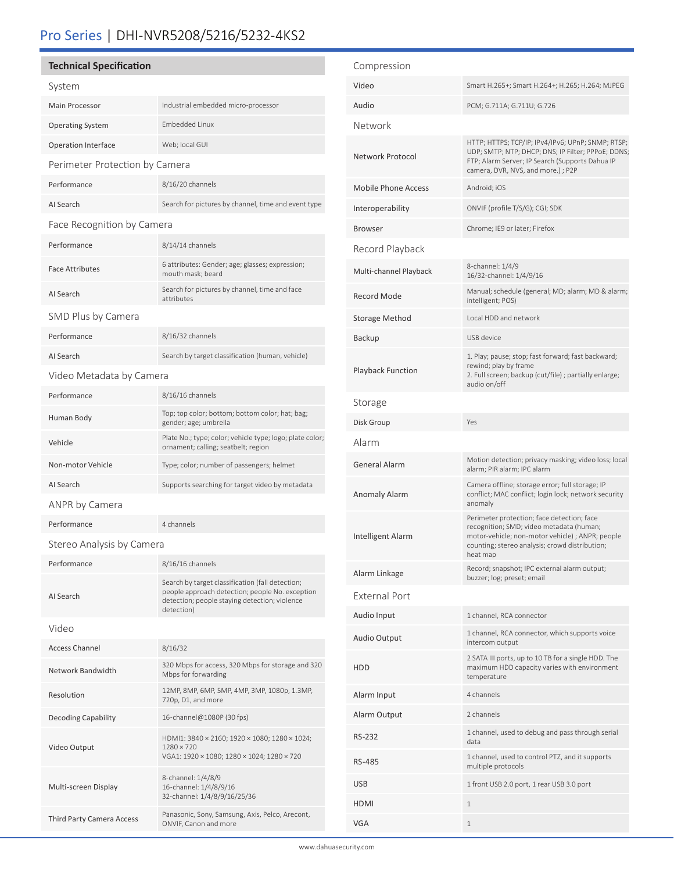## Pro Series | DHI-NVR5208/5216/5232-4KS2

#### **Technical Specification**

| Technical Specification        |                                                                                                                                                                    |  |
|--------------------------------|--------------------------------------------------------------------------------------------------------------------------------------------------------------------|--|
| System                         |                                                                                                                                                                    |  |
| <b>Main Processor</b>          | Industrial embedded micro-processor                                                                                                                                |  |
| <b>Operating System</b>        | <b>Embedded Linux</b>                                                                                                                                              |  |
| <b>Operation Interface</b>     | Web; local GUI                                                                                                                                                     |  |
| Perimeter Protection by Camera |                                                                                                                                                                    |  |
| Performance                    | 8/16/20 channels                                                                                                                                                   |  |
| AI Search                      | Search for pictures by channel, time and event type                                                                                                                |  |
| Face Recognition by Camera     |                                                                                                                                                                    |  |
| Performance                    | 8/14/14 channels                                                                                                                                                   |  |
| <b>Face Attributes</b>         | 6 attributes: Gender; age; glasses; expression;<br>mouth mask; beard                                                                                               |  |
| AI Search                      | Search for pictures by channel, time and face<br>attributes                                                                                                        |  |
| SMD Plus by Camera             |                                                                                                                                                                    |  |
| Performance                    | 8/16/32 channels                                                                                                                                                   |  |
| AI Search                      | Search by target classification (human, vehicle)                                                                                                                   |  |
| Video Metadata by Camera       |                                                                                                                                                                    |  |
| Performance                    | 8/16/16 channels                                                                                                                                                   |  |
| Human Body                     | Top; top color; bottom; bottom color; hat; bag;<br>gender; age; umbrella                                                                                           |  |
| Vehicle                        | Plate No.; type; color; vehicle type; logo; plate color;<br>ornament; calling; seatbelt; region                                                                    |  |
| Non-motor Vehicle              | Type; color; number of passengers; helmet                                                                                                                          |  |
| AI Search                      | Supports searching for target video by metadata                                                                                                                    |  |
| ANPR by Camera                 |                                                                                                                                                                    |  |
| Performance                    | 4 channels                                                                                                                                                         |  |
| Stereo Analysis by Camera      |                                                                                                                                                                    |  |
| Performance                    | 8/16/16 channels                                                                                                                                                   |  |
| AI Search                      | Search by target classification (fall detection;<br>people approach detection; people No. exception<br>detection; people staying detection; violence<br>detection) |  |
| Video                          |                                                                                                                                                                    |  |
| <b>Access Channel</b>          | 8/16/32                                                                                                                                                            |  |
| Network Bandwidth              | 320 Mbps for access, 320 Mbps for storage and 320<br>Mbps for forwarding                                                                                           |  |
| Resolution                     | 12MP, 8MP, 6MP, 5MP, 4MP, 3MP, 1080p, 1.3MP,<br>720p, D1, and more                                                                                                 |  |
| <b>Decoding Capability</b>     | 16-channel@1080P (30 fps)                                                                                                                                          |  |
| Video Output                   | HDMI1: 3840 × 2160; 1920 × 1080; 1280 × 1024;<br>$1280 \times 720$<br>VGA1: 1920 × 1080; 1280 × 1024; 1280 × 720                                                   |  |
| Multi-screen Display           | 8-channel: 1/4/8/9<br>16-channel: 1/4/8/9/16<br>32-channel: 1/4/8/9/16/25/36                                                                                       |  |

Third Party Camera Access Panasonic, Sony, Samsung, Axis, Pelco, Arecont, ONVIF, Canon and more

| Compression                |                                                                                                                                                                                                          |
|----------------------------|----------------------------------------------------------------------------------------------------------------------------------------------------------------------------------------------------------|
| Video                      | Smart H.265+; Smart H.264+; H.265; H.264; MJPEG                                                                                                                                                          |
| Audio                      | PCM; G.711A; G.711U; G.726                                                                                                                                                                               |
| Network                    |                                                                                                                                                                                                          |
| Network Protocol           | HTTP; HTTPS; TCP/IP; IPv4/IPv6; UPnP; SNMP; RTSP;<br>UDP; SMTP; NTP; DHCP; DNS; IP Filter; PPPoE; DDNS;<br>FTP; Alarm Server; IP Search (Supports Dahua IP<br>camera, DVR, NVS, and more.) ; P2P         |
| <b>Mobile Phone Access</b> | Android; iOS                                                                                                                                                                                             |
| Interoperability           | ONVIF (profile T/S/G); CGI; SDK                                                                                                                                                                          |
| Browser                    | Chrome; IE9 or later; Firefox                                                                                                                                                                            |
| Record Playback            |                                                                                                                                                                                                          |
| Multi-channel Playback     | 8-channel: 1/4/9<br>16/32-channel: 1/4/9/16                                                                                                                                                              |
| Record Mode                | Manual; schedule (general; MD; alarm; MD & alarm;<br>intelligent; POS)                                                                                                                                   |
| Storage Method             | Local HDD and network                                                                                                                                                                                    |
| Backup                     | USB device                                                                                                                                                                                               |
| <b>Playback Function</b>   | 1. Play; pause; stop; fast forward; fast backward;<br>rewind; play by frame<br>2. Full screen; backup (cut/file) ; partially enlarge;<br>audio on/off                                                    |
| Storage                    |                                                                                                                                                                                                          |
| Disk Group                 | Yes                                                                                                                                                                                                      |
| Alarm                      |                                                                                                                                                                                                          |
| General Alarm              | Motion detection; privacy masking; video loss; local<br>alarm; PIR alarm; IPC alarm                                                                                                                      |
| <b>Anomaly Alarm</b>       | Camera offline; storage error; full storage; IP<br>conflict; MAC conflict; login lock; network security<br>anomaly                                                                                       |
| Intelligent Alarm          | Perimeter protection; face detection; face<br>recognition; SMD; video metadata (human;<br>motor-vehicle; non-motor vehicle) ; ANPR; people<br>counting; stereo analysis; crowd distribution;<br>heat map |
| Alarm Linkage              | Record; snapshot; IPC external alarm output;<br>buzzer; log; preset; email                                                                                                                               |
| <b>External Port</b>       |                                                                                                                                                                                                          |
| Audio Input                | 1 channel, RCA connector                                                                                                                                                                                 |
| Audio Output               | 1 channel, RCA connector, which supports voice<br>intercom output                                                                                                                                        |
| HDD                        | 2 SATA III ports, up to 10 TB for a single HDD. The<br>maximum HDD capacity varies with environment<br>temperature                                                                                       |
| Alarm Input                | 4 channels                                                                                                                                                                                               |
| Alarm Output               | 2 channels                                                                                                                                                                                               |
| RS-232                     | 1 channel, used to debug and pass through serial<br>data                                                                                                                                                 |
| RS-485                     | 1 channel, used to control PTZ, and it supports<br>multiple protocols                                                                                                                                    |
| USB                        | 1 front USB 2.0 port, 1 rear USB 3.0 port                                                                                                                                                                |
| HDMI                       | $\mathbf 1$                                                                                                                                                                                              |
| <b>VGA</b>                 | $\mathbf{1}$                                                                                                                                                                                             |